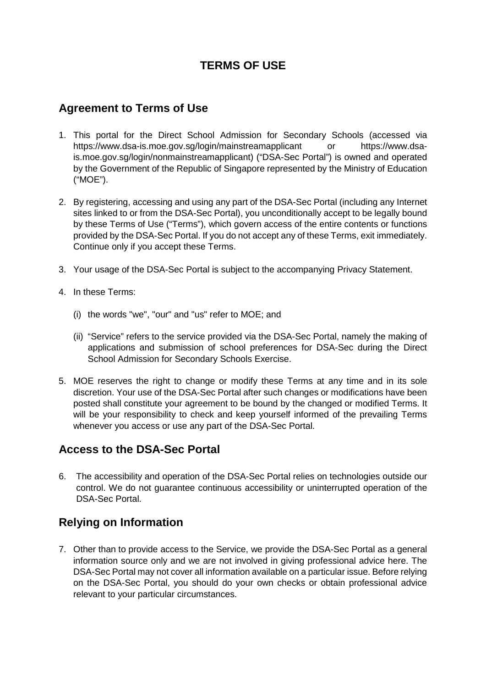# **TERMS OF USE**

### **Agreement to Terms of Use**

- 1. This portal for the Direct School Admission for Secondary Schools (accessed via https:/[/www.dsa-is.moe.gov.sg/login/mainstreamapplicant o](http://www.dsa-is.moe.gov.sg/login/mainstreamapplicant)r [https://www.dsa](https://www.dsa-is.moe.gov.sg/login/mainstreamapplicant)[is.moe.gov.sg/login/n](https://www.dsa-is.moe.gov.sg/login/mainstreamapplicant)onmainstreamapplicant) ("DSA-Sec Portal") is owned and operated by the Government of the Republic of Singapore represented by the Ministry of Education ("MOE").
- 2. By registering, accessing and using any part of the DSA-Sec Portal (including any Internet sites linked to or from the DSA-Sec Portal), you unconditionally accept to be legally bound by these Terms of Use ("Terms"), which govern access of the entire contents or functions provided by the DSA-Sec Portal. If you do not accept any of these Terms, exit immediately. Continue only if you accept these Terms.
- 3. Your usage of the DSA-Sec Portal is subject to the accompanying Privacy Statement.
- 4. In these Terms:
	- (i) the words "we", "our" and "us" refer to MOE; and
	- (ii) "Service" refers to the service provided via the DSA-Sec Portal, namely the making of applications and submission of school preferences for DSA-Sec during the Direct School Admission for Secondary Schools Exercise.
- 5. MOE reserves the right to change or modify these Terms at any time and in its sole discretion. Your use of the DSA-Sec Portal after such changes or modifications have been posted shall constitute your agreement to be bound by the changed or modified Terms. It will be your responsibility to check and keep yourself informed of the prevailing Terms whenever you access or use any part of the DSA-Sec Portal.

## **Access to the DSA-Sec Portal**

6. The accessibility and operation of the DSA-Sec Portal relies on technologies outside our control. We do not guarantee continuous accessibility or uninterrupted operation of the DSA-Sec Portal.

## **Relying on Information**

7. Other than to provide access to the Service, we provide the DSA-Sec Portal as a general information source only and we are not involved in giving professional advice here. The DSA-Sec Portal may not cover all information available on a particular issue. Before relying on the DSA-Sec Portal, you should do your own checks or obtain professional advice relevant to your particular circumstances.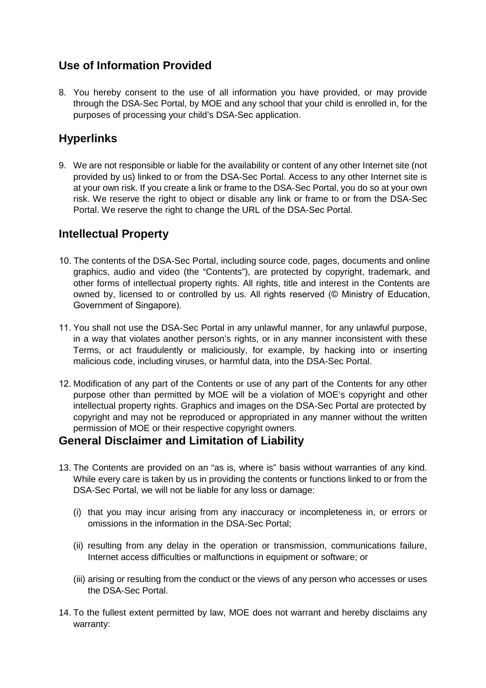## **Use of Information Provided**

8. You hereby consent to the use of all information you have provided, or may provide through the DSA-Sec Portal, by MOE and any school that your child is enrolled in, for the purposes of processing your child's DSA-Sec application.

# **Hyperlinks**

9. We are not responsible or liable for the availability or content of any other Internet site (not provided by us) linked to or from the DSA-Sec Portal. Access to any other Internet site is at your own risk. If you create a link or frame to the DSA-Sec Portal, you do so at your own risk. We reserve the right to object or disable any link or frame to or from the DSA-Sec Portal. We reserve the right to change the URL of the DSA-Sec Portal.

## **Intellectual Property**

- 10. The contents of the DSA-Sec Portal, including source code, pages, documents and online graphics, audio and video (the "Contents"), are protected by copyright, trademark, and other forms of intellectual property rights. All rights, title and interest in the Contents are owned by, licensed to or controlled by us. All rights reserved (© Ministry of Education, Government of Singapore).
- 11. You shall not use the DSA-Sec Portal in any unlawful manner, for any unlawful purpose, in a way that violates another person's rights, or in any manner inconsistent with these Terms, or act fraudulently or maliciously, for example, by hacking into or inserting malicious code, including viruses, or harmful data, into the DSA-Sec Portal.
- 12. Modification of any part of the Contents or use of any part of the Contents for any other purpose other than permitted by MOE will be a violation of MOE's copyright and other intellectual property rights. Graphics and images on the DSA-Sec Portal are protected by copyright and may not be reproduced or appropriated in any manner without the written permission of MOE or their respective copyright owners.

#### **General Disclaimer and Limitation of Liability**

- 13. The Contents are provided on an "as is, where is" basis without warranties of any kind. While every care is taken by us in providing the contents or functions linked to or from the DSA-Sec Portal, we will not be liable for any loss or damage:
	- (i) that you may incur arising from any inaccuracy or incompleteness in, or errors or omissions in the information in the DSA-Sec Portal;
	- (ii) resulting from any delay in the operation or transmission, communications failure, Internet access difficulties or malfunctions in equipment or software; or
	- (iii) arising or resulting from the conduct or the views of any person who accesses or uses the DSA-Sec Portal.
- 14. To the fullest extent permitted by law, MOE does not warrant and hereby disclaims any warranty: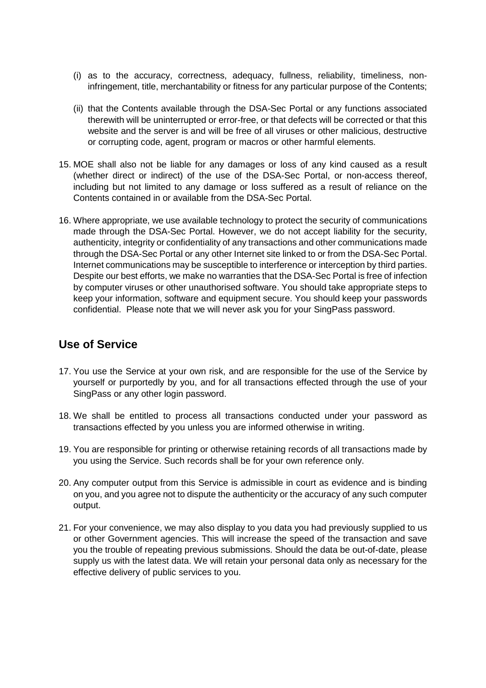- (i) as to the accuracy, correctness, adequacy, fullness, reliability, timeliness, noninfringement, title, merchantability or fitness for any particular purpose of the Contents;
- (ii) that the Contents available through the DSA-Sec Portal or any functions associated therewith will be uninterrupted or error-free, or that defects will be corrected or that this website and the server is and will be free of all viruses or other malicious, destructive or corrupting code, agent, program or macros or other harmful elements.
- 15. MOE shall also not be liable for any damages or loss of any kind caused as a result (whether direct or indirect) of the use of the DSA-Sec Portal, or non-access thereof, including but not limited to any damage or loss suffered as a result of reliance on the Contents contained in or available from the DSA-Sec Portal.
- 16. Where appropriate, we use available technology to protect the security of communications made through the DSA-Sec Portal. However, we do not accept liability for the security, authenticity, integrity or confidentiality of any transactions and other communications made through the DSA-Sec Portal or any other Internet site linked to or from the DSA-Sec Portal. Internet communications may be susceptible to interference or interception by third parties. Despite our best efforts, we make no warranties that the DSA-Sec Portal is free of infection by computer viruses or other unauthorised software. You should take appropriate steps to keep your information, software and equipment secure. You should keep your passwords confidential. Please note that we will never ask you for your SingPass password.

#### **Use of Service**

- 17. You use the Service at your own risk, and are responsible for the use of the Service by yourself or purportedly by you, and for all transactions effected through the use of your SingPass or any other login password.
- 18. We shall be entitled to process all transactions conducted under your password as transactions effected by you unless you are informed otherwise in writing.
- 19. You are responsible for printing or otherwise retaining records of all transactions made by you using the Service. Such records shall be for your own reference only.
- 20. Any computer output from this Service is admissible in court as evidence and is binding on you, and you agree not to dispute the authenticity or the accuracy of any such computer output.
- 21. For your convenience, we may also display to you data you had previously supplied to us or other Government agencies. This will increase the speed of the transaction and save you the trouble of repeating previous submissions. Should the data be out-of-date, please supply us with the latest data. We will retain your personal data only as necessary for the effective delivery of public services to you.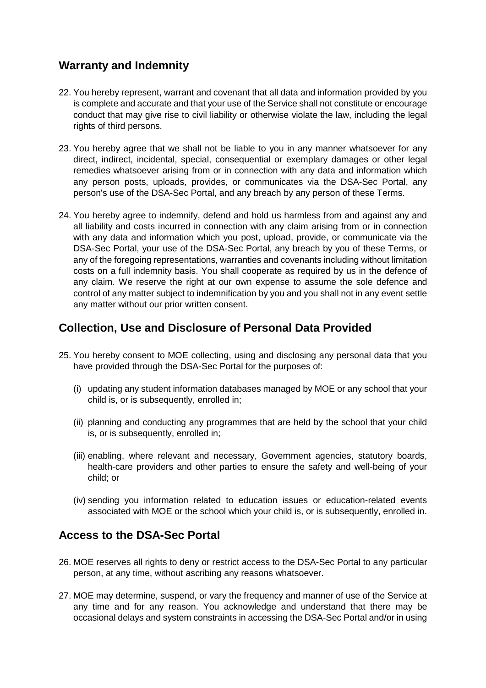## **Warranty and Indemnity**

- 22. You hereby represent, warrant and covenant that all data and information provided by you is complete and accurate and that your use of the Service shall not constitute or encourage conduct that may give rise to civil liability or otherwise violate the law, including the legal rights of third persons.
- 23. You hereby agree that we shall not be liable to you in any manner whatsoever for any direct, indirect, incidental, special, consequential or exemplary damages or other legal remedies whatsoever arising from or in connection with any data and information which any person posts, uploads, provides, or communicates via the DSA-Sec Portal, any person's use of the DSA-Sec Portal, and any breach by any person of these Terms.
- 24. You hereby agree to indemnify, defend and hold us harmless from and against any and all liability and costs incurred in connection with any claim arising from or in connection with any data and information which you post, upload, provide, or communicate via the DSA-Sec Portal, your use of the DSA-Sec Portal, any breach by you of these Terms, or any of the foregoing representations, warranties and covenants including without limitation costs on a full indemnity basis. You shall cooperate as required by us in the defence of any claim. We reserve the right at our own expense to assume the sole defence and control of any matter subject to indemnification by you and you shall not in any event settle any matter without our prior written consent.

## **Collection, Use and Disclosure of Personal Data Provided**

- 25. You hereby consent to MOE collecting, using and disclosing any personal data that you have provided through the DSA-Sec Portal for the purposes of:
	- (i) updating any student information databases managed by MOE or any school that your child is, or is subsequently, enrolled in;
	- (ii) planning and conducting any programmes that are held by the school that your child is, or is subsequently, enrolled in;
	- (iii) enabling, where relevant and necessary, Government agencies, statutory boards, health-care providers and other parties to ensure the safety and well-being of your child; or
	- (iv) sending you information related to education issues or education-related events associated with MOE or the school which your child is, or is subsequently, enrolled in.

## **Access to the DSA-Sec Portal**

- 26. MOE reserves all rights to deny or restrict access to the DSA-Sec Portal to any particular person, at any time, without ascribing any reasons whatsoever.
- 27. MOE may determine, suspend, or vary the frequency and manner of use of the Service at any time and for any reason. You acknowledge and understand that there may be occasional delays and system constraints in accessing the DSA-Sec Portal and/or in using